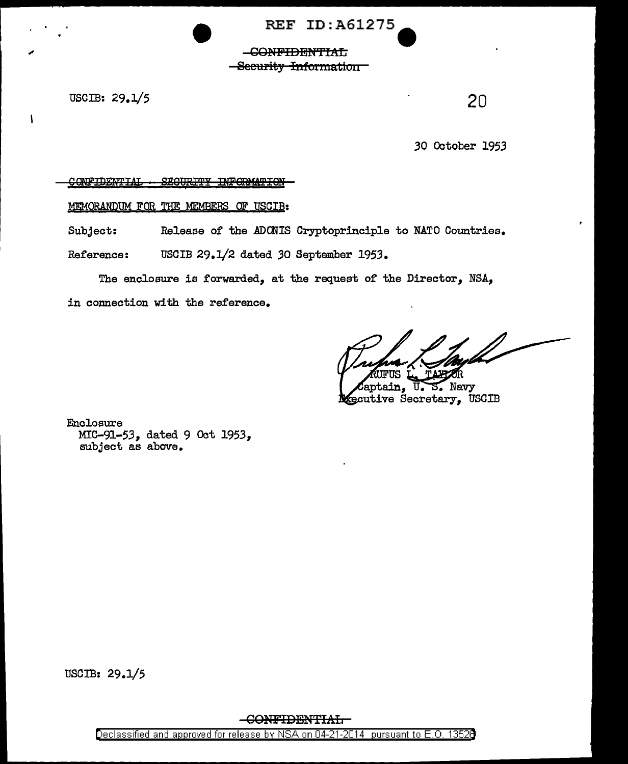**REF ID: A61275** 

## -CONFIDENTIAL -Security Information

USCIB: 29.1/5

 $\mathbf{I}$ 

20

30 October 1953

## CONFIDENTIAL - SECURITY INFORMATION-

MEMORANDUM FOR THE MEMBERS OF USCIB:

Release of the ADONIS Cryptoprinciple to NATO Countries. Subject:

Reference: USCIB 29.1/2 dated 30 September 1953.

The enclosure is forwarded, at the request of the Director, NSA, in connection with the reference.

iifus m /

Laptain, U.S. Navy **R**ecutive Secretary, USCIB

Enclosure MIC-91-53, dated 9 Oct 1953, subject as above.

USCIB: 29.1/5

-CONFIDENTIAL-